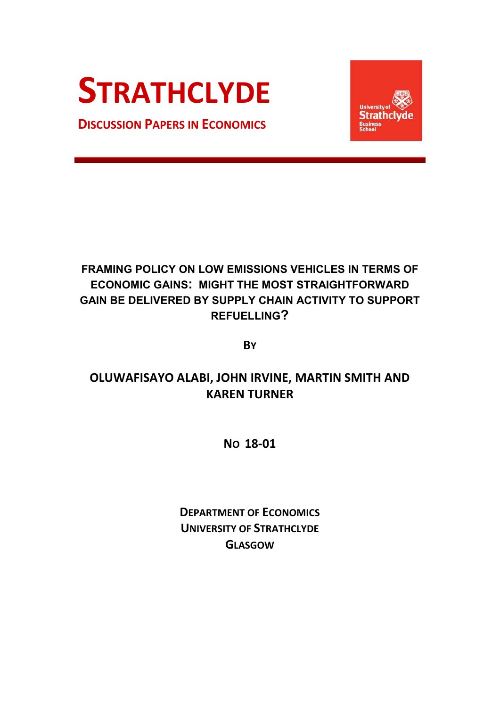# **STRATHCLYDE**

**DISCUSSION PAPERS IN ECONOMICS**



## **FRAMING POLICY ON LOW EMISSIONS VEHICLES IN TERMS OF ECONOMIC GAINS: MIGHT THE MOST STRAIGHTFORWARD GAIN BE DELIVERED BY SUPPLY CHAIN ACTIVITY TO SUPPORT REFUELLING?**

**BY**

# **OLUWAFISAYO ALABI, JOHN IRVINE, MARTIN SMITH AND KAREN TURNER**

**NO 18-01**

**DEPARTMENT OF ECONOMICS UNIVERSITY OF STRATHCLYDE GLASGOW**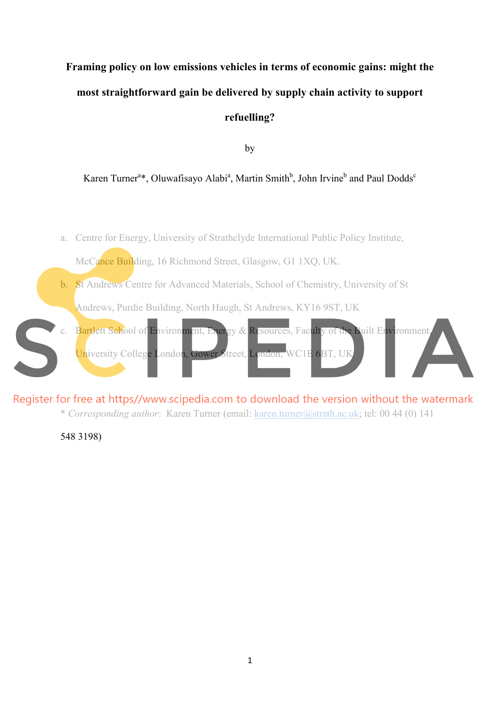# **Framing policy on low emissions vehicles in terms of economic gains: might the most straightforward gain be delivered by supply chain activity to support refuelling?**

by

#### Karen Turner<sup>a\*</sup>, Oluwafisayo Alabi<sup>a</sup>, Martin Smith<sup>b</sup>, John Irvine<sup>b</sup> and Paul Dodds<sup>c</sup>

- a. Centre for Energy, University of Strathclyde International Public Policy Institute, McCance Building, 16 Richmond Street, Glasgow, G1 1XQ, UK. b. St Andrews Centre for Advanced Materials, School of Chemistry, University of St Andrews, Purdie Building, North Haugh, St Andrews, KY16 9ST, UK c. Bartlett School of Environment, Energy & Resources, Faculty of the Built Environment
- University College London, Gower Street, London, WC1E 6BT, UK

Register for free at https//www.scipedia.com to download the version without the watermark

\* *Corresponding author*: Karen Turner (email: karen.turner@strath.ac.uk; tel: 00 44 (0) 141

548 3198)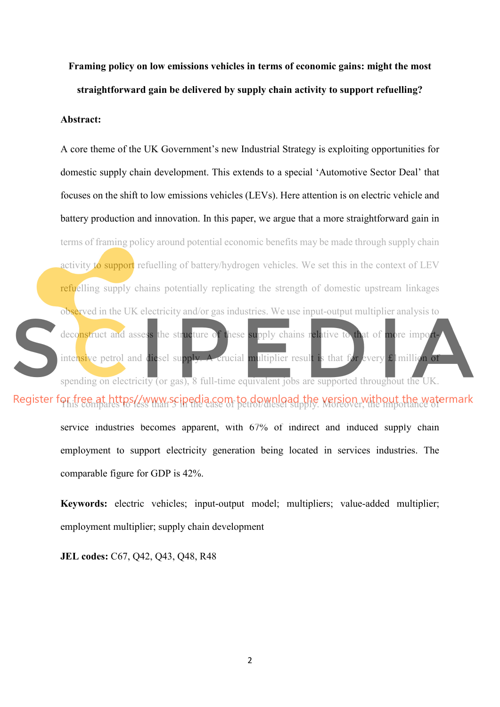**Framing policy on low emissions vehicles in terms of economic gains: might the most straightforward gain be delivered by supply chain activity to support refuelling?** 

#### **Abstract:**

A core theme of the UK Government's new Industrial Strategy is exploiting opportunities for domestic supply chain development. This extends to a special 'Automotive Sector Deal' that focuses on the shift to low emissions vehicles (LEVs). Here attention is on electric vehicle and battery production and innovation. In this paper, we argue that a more straightforward gain in terms of framing policy around potential economic benefits may be made through supply chain activity to support refuelling of battery/hydrogen vehicles. We set this in the context of LEV refuelling supply chains potentially replicating the strength of domestic upstream linkages observed in the UK electricity and/or gas industries. We use input-output multiplier analysis to deconstruct and assess the structure of these supply chains relative to that of more importintensive petrol and diesel supply. A crucial multiplier result is that for every £1 million of spending on electricity (or gas), 8 full-time equivalent jobs are supported throughout the UK.

Register for free at https//www.scipedia.com to download the version without the watermark

service industries becomes apparent, with 67% of indirect and induced supply chain employment to support electricity generation being located in services industries. The comparable figure for GDP is 42%.

**Keywords:** electric vehicles; input-output model; multipliers; value-added multiplier; employment multiplier; supply chain development

**JEL codes:** C67, Q42, Q43, Q48, R48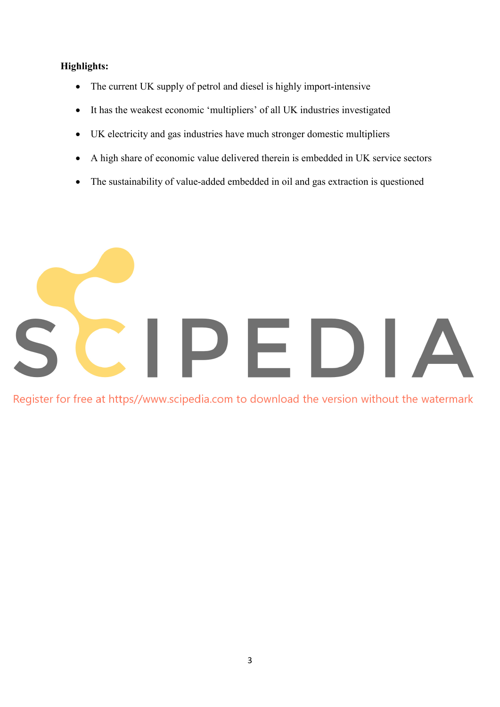#### **Highlights:**

- The current UK supply of petrol and diesel is highly import-intensive
- It has the weakest economic 'multipliers' of all UK industries investigated
- UK electricity and gas industries have much stronger domestic multipliers
- A high share of economic value delivered therein is embedded in UK service sectors
- The sustainability of value-added embedded in oil and gas extraction is questioned



Register for free at https//www.scipedia.com to download the version without the watermark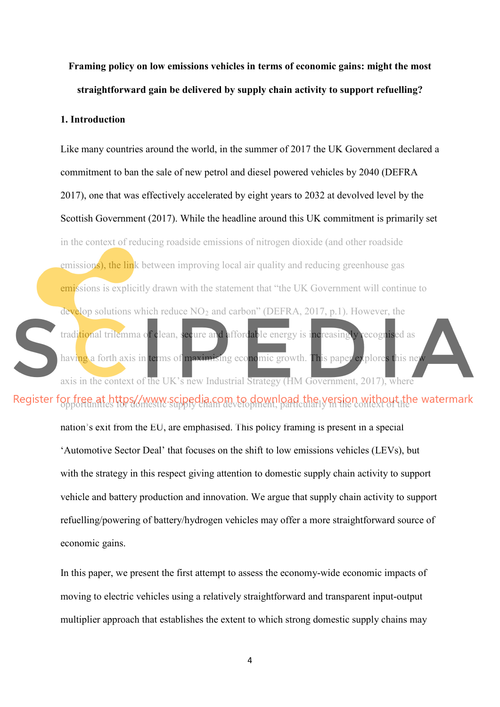**Framing policy on low emissions vehicles in terms of economic gains: might the most straightforward gain be delivered by supply chain activity to support refuelling?** 

#### **1. Introduction**

Like many countries around the world, in the summer of 2017 the UK Government declared a commitment to ban the sale of new petrol and diesel powered vehicles by 2040 (DEFRA 2017), one that was effectively accelerated by eight years to 2032 at devolved level by the Scottish Government (2017). While the headline around this UK commitment is primarily set in the context of reducing roadside emissions of nitrogen dioxide (and other roadside emissions), the link between improving local air quality and reducing greenhouse gas emissions is explicitly drawn with the statement that "the UK Government will continue to develop solutions which reduce  $NO<sub>2</sub>$  and carbon" (DEFRA, 2017, p.1). However, the traditional trilemma of clean, secure and affordable energy is increasingly recognised as having a forth axis in terms of maximising economic growth. This paper explores this ne axis in the context of the UK's new Industrial Strategy (HM Government, 2017), where

### Register for free at https//www.scipedia.com to download the version without the watermark

nation's exit from the EU, are emphasised. This policy framing is present in a special 'Automotive Sector Deal' that focuses on the shift to low emissions vehicles (LEVs), but with the strategy in this respect giving attention to domestic supply chain activity to support vehicle and battery production and innovation. We argue that supply chain activity to support refuelling/powering of battery/hydrogen vehicles may offer a more straightforward source of economic gains.

In this paper, we present the first attempt to assess the economy-wide economic impacts of moving to electric vehicles using a relatively straightforward and transparent input-output multiplier approach that establishes the extent to which strong domestic supply chains may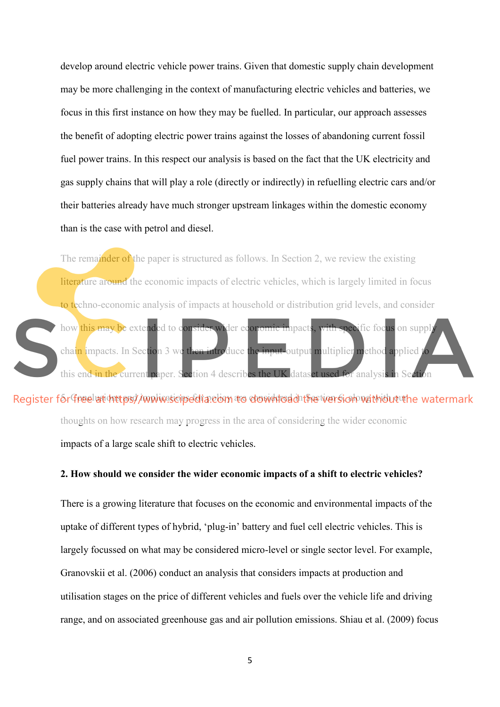develop around electric vehicle power trains. Given that domestic supply chain development may be more challenging in the context of manufacturing electric vehicles and batteries, we focus in this first instance on how they may be fuelled. In particular, our approach assesses the benefit of adopting electric power trains against the losses of abandoning current fossil fuel power trains. In this respect our analysis is based on the fact that the UK electricity and gas supply chains that will play a role (directly or indirectly) in refuelling electric cars and/or their batteries already have much stronger upstream linkages within the domestic economy than is the case with petrol and diesel.

The remainder of the paper is structured as follows. In Section 2, we review the existing literature around the economic impacts of electric vehicles, which is largely limited in focus to techno-economic analysis of impacts at household or distribution grid levels, and consider how this may be extended to consider wider economic impacts, with specific focus on supply chain impacts. In Section 3 we then introduce the input-output multiplier method applied to this end in the current paper. Section 4 describes the UK dataset used for analysis in Section

Register for free with the psy implications and including the consideration of the watermark thoughts on how research may progress in the area of considering the wider economic impacts of a large scale shift to electric vehicles.

#### **2. How should we consider the wider economic impacts of a shift to electric vehicles?**

There is a growing literature that focuses on the economic and environmental impacts of the uptake of different types of hybrid, 'plug-in' battery and fuel cell electric vehicles. This is largely focussed on what may be considered micro-level or single sector level. For example, Granovskii et al. (2006) conduct an analysis that considers impacts at production and utilisation stages on the price of different vehicles and fuels over the vehicle life and driving range, and on associated greenhouse gas and air pollution emissions. Shiau et al. (2009) focus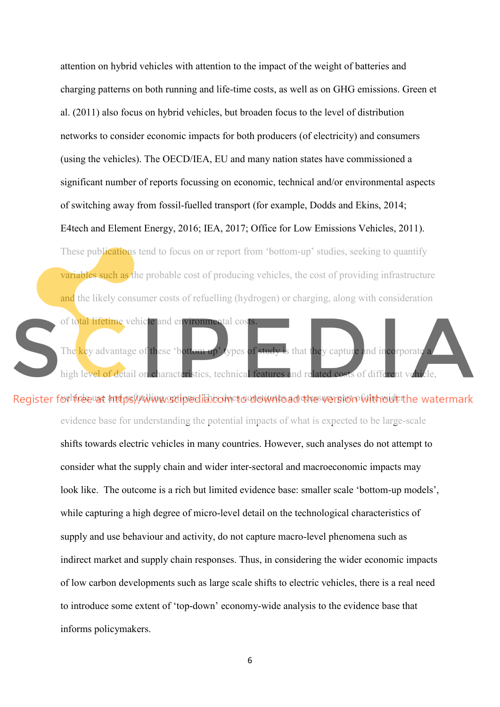attention on hybrid vehicles with attention to the impact of the weight of batteries and charging patterns on both running and life-time costs, as well as on GHG emissions. Green et al. (2011) also focus on hybrid vehicles, but broaden focus to the level of distribution networks to consider economic impacts for both producers (of electricity) and consumers (using the vehicles). The OECD/IEA, EU and many nation states have commissioned a significant number of reports focussing on economic, technical and/or environmental aspects of switching away from fossil-fuelled transport (for example, Dodds and Ekins, 2014; E4tech and Element Energy, 2016; IEA, 2017; Office for Low Emissions Vehicles, 2011).

These publications tend to focus on or report from 'bottom-up' studies, seeking to quantify variables such as the probable cost of producing vehicles, the cost of providing infrastructure and the likely consumer costs of refuelling (hydrogen) or charging, along with consideration

The key advantage of these 'bottom up' types of study is that they capture and incorporate high level of detail on characteristics, technical features and related costs of different vehicle,

of total lifetime vehicle and environmental costs.

Register for free at https://www.gdipedibicometo.downtoad the wersion without the watermark evidence base for understanding the potential impacts of what is expected to be large-scale

> shifts towards electric vehicles in many countries. However, such analyses do not attempt to consider what the supply chain and wider inter-sectoral and macroeconomic impacts may look like. The outcome is a rich but limited evidence base: smaller scale 'bottom-up models', while capturing a high degree of micro-level detail on the technological characteristics of supply and use behaviour and activity, do not capture macro-level phenomena such as indirect market and supply chain responses. Thus, in considering the wider economic impacts of low carbon developments such as large scale shifts to electric vehicles, there is a real need to introduce some extent of 'top-down' economy-wide analysis to the evidence base that informs policymakers.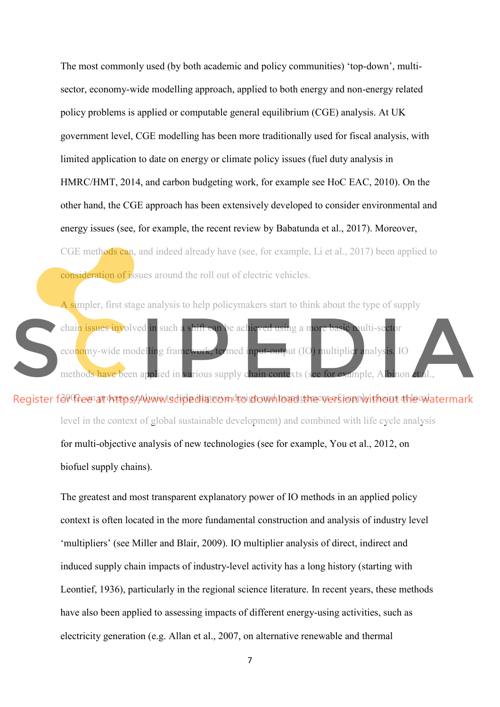The most commonly used (by both academic and policy communities) 'top-down', multisector, economy-wide modelling approach, applied to both energy and non-energy related policy problems is applied or computable general equilibrium (CGE) analysis. At UK government level, CGE modelling has been more traditionally used for fiscal analysis, with limited application to date on energy or climate policy issues (fuel duty analysis in HMRC/HMT, 2014, and carbon budgeting work, for example see HoC EAC, 2010). On the other hand, the CGE approach has been extensively developed to consider environmental and energy issues (see, for example, the recent review by Babatunda et al., 2017). Moreover, CGE methods can, and indeed already have (see, for example, Li et al., 2017) been applied to consideration of issues around the roll out of electric vehicles.

A simpler, first stage analysis to help policymakers start to think about the type of supply chain issues involved in such a shift can be achieved using a more basic multi-sector economy-wide modelling framework, termed input-output (IO) multiplier analysis. IO methods have been applied in various supply chain contexts (see for example, Albinon et

Register for the enationaly of the discondroist and management in providing the waltermark level in the context of global sustainable development) and combined with life cycle analysis for multi-objective analysis of new technologies (see for example, You et al., 2012, on biofuel supply chains).

> The greatest and most transparent explanatory power of IO methods in an applied policy context is often located in the more fundamental construction and analysis of industry level 'multipliers' (see Miller and Blair, 2009). IO multiplier analysis of direct, indirect and induced supply chain impacts of industry-level activity has a long history (starting with Leontief, 1936), particularly in the regional science literature. In recent years, these methods have also been applied to assessing impacts of different energy-using activities, such as electricity generation (e.g. Allan et al., 2007, on alternative renewable and thermal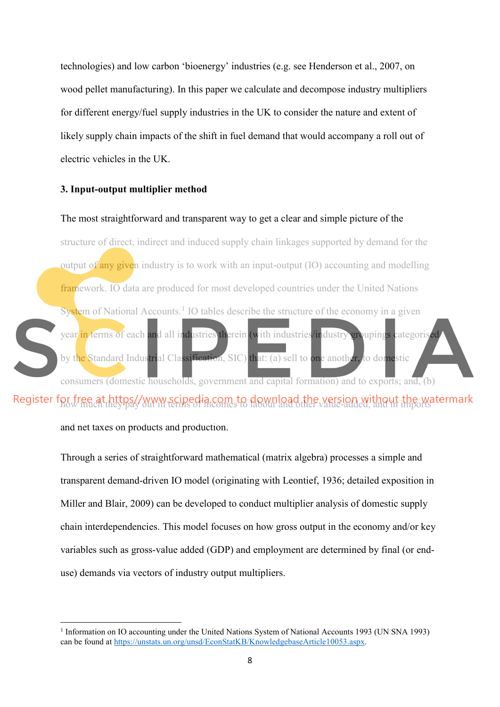technologies) and low carbon 'bioenergy' industries (e.g. see Henderson et al., 2007, on wood pellet manufacturing). In this paper we calculate and decompose industry multipliers for different energy/fuel supply industries in the UK to consider the nature and extent of likely supply chain impacts of the shift in fuel demand that would accompany a roll out of electric vehicles in the UK.

#### **3. Input-output multiplier method**

#### The most straightforward and transparent way to get a clear and simple picture of the

structure of direct, indirect and induced supply chain linkages supported by demand for the output of any given industry is to work with an input-output  $(IO)$  accounting and modelling framework. IO data are produced for most developed countries under the United Nations System of National Accounts.<sup>[1](#page-8-0)</sup> IO tables describe the structure of the economy in a given year in terms of each and all industries therein (with industries/industry groupings categoris by the Standard Industrial Classification, SIC) that: (a) sell to one another, to domestic consumers (domestic households, government and capital formation) and to exports; and, (b)

# Register for free at https//www.scipedia.com to download the version without the watermark

and net taxes on products and production.

 $\overline{a}$ 

Through a series of straightforward mathematical (matrix algebra) processes a simple and transparent demand-driven IO model (originating with Leontief, 1936; detailed exposition in Miller and Blair, 2009) can be developed to conduct multiplier analysis of domestic supply chain interdependencies. This model focuses on how gross output in the economy and/or key variables such as gross-value added (GDP) and employment are determined by final (or enduse) demands via vectors of industry output multipliers.

<span id="page-8-0"></span><sup>&</sup>lt;sup>1</sup> Information on IO accounting under the United Nations System of National Accounts 1993 (UN SNA 1993) can be found at https://unstats.un.org/unsd/EconStatKB/KnowledgebaseArticle10053.aspx.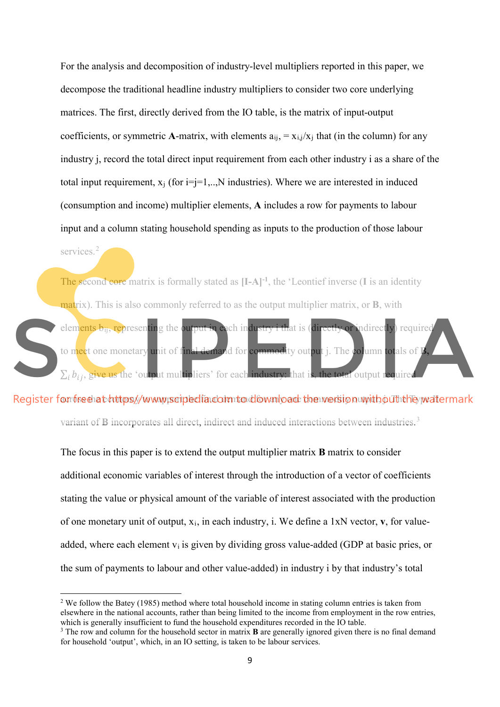For the analysis and decomposition of industry-level multipliers reported in this paper, we decompose the traditional headline industry multipliers to consider two core underlying matrices. The first, directly derived from the IO table, is the matrix of input-output coefficients, or symmetric **A**-matrix, with elements  $a_{ij} = x_{i,j}/x_j$  that (in the column) for any industry j, record the total direct input requirement from each other industry i as a share of the total input requirement,  $x_i$  (for  $i=j=1,...,N$  industries). Where we are interested in induced (consumption and income) multiplier elements, **A** includes a row for payments to labour input and a column stating household spending as inputs to the production of those labour

services.<sup>[2](#page-9-0)</sup>

 $\overline{a}$ 

The second core matrix is formally stated as **[I-A]-1**, the 'Leontief inverse (**I** is an identity matrix). This is also commonly referred to as the output multiplier matrix, or **B**, with elements b<sub>ij</sub>, representing the output in each industry i that is (directly or indirectly) required

to meet one monetary unit of final demand for commodity output j. The column totals of **B,**  $\Sigma_i b_{ij}$ , give us the 'output multipliers' for each industry: that is, the total output required

Register for fore that https://www.poipedia.com.to.download the wersion with out the watermark

variant of **B** incorporates all direct, indirect and induced interactions between industries.<sup>[3](#page-9-1)</sup>

The focus in this paper is to extend the output multiplier matrix **B** matrix to consider additional economic variables of interest through the introduction of a vector of coefficients stating the value or physical amount of the variable of interest associated with the production of one monetary unit of output, xi, in each industry, i. We define a 1xN vector, **v**, for valueadded, where each element  $v_i$  is given by dividing gross value-added (GDP at basic pries, or the sum of payments to labour and other value-added) in industry i by that industry's total

<span id="page-9-0"></span><sup>2</sup> We follow the Batey (1985) method where total household income in stating column entries is taken from elsewhere in the national accounts, rather than being limited to the income from employment in the row entries, which is generally insufficient to fund the household expenditures recorded in the IO table.

<span id="page-9-1"></span><sup>&</sup>lt;sup>3</sup> The row and column for the household sector in matrix **B** are generally ignored given there is no final demand for household 'output', which, in an IO setting, is taken to be labour services.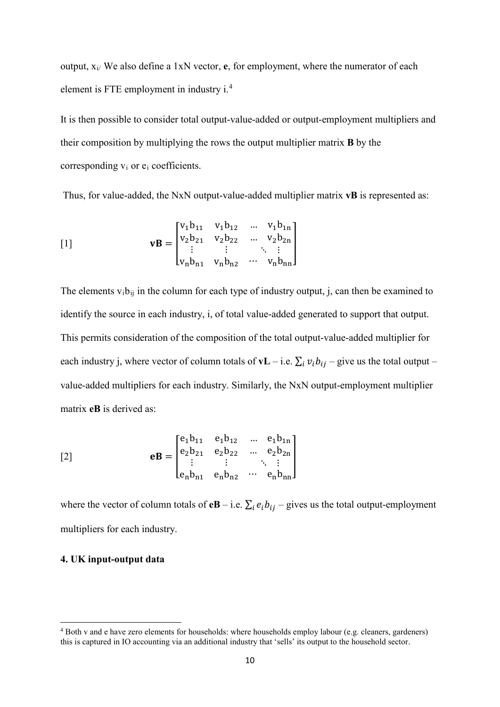output, xi/ We also define a 1xN vector, **e**, for employment, where the numerator of each element is FTE employment in industry i.<sup>[4](#page-10-0)</sup>

It is then possible to consider total output-value-added or output-employment multipliers and their composition by multiplying the rows the output multiplier matrix **B** by the corresponding v<sup>i</sup> or e<sup>i</sup> coefficients.

Thus, for value-added, the NxN output-value-added multiplier matrix **vB** is represented as:

$$
\mathbf{vB} = \begin{bmatrix} v_1b_{11} & v_1b_{12} & \dots & v_1b_{1n} \\ v_2b_{21} & v_2b_{22} & \dots & v_2b_{2n} \\ \vdots & \vdots & \ddots & \vdots \\ v_nb_{n1} & v_nb_{n2} & \dots & v_nb_{nn} \end{bmatrix}
$$

The elements  $v_i b_{ii}$  in the column for each type of industry output, j, can then be examined to identify the source in each industry, i, of total value-added generated to support that output. This permits consideration of the composition of the total output-value-added multiplier for each industry j, where vector of column totals of **vL** – i.e.  $\sum_i v_i b_{ij}$  – give us the total output – value-added multipliers for each industry. Similarly, the NxN output-employment multiplier matrix **eB** is derived as:

$$
eB = \begin{bmatrix} e_1b_{11} & e_1b_{12} & \dots & e_1b_{1n} \\ e_2b_{21} & e_2b_{22} & \dots & e_2b_{2n} \\ \vdots & \vdots & \ddots & \vdots \\ e_nb_{n1} & e_nb_{n2} & \dots & e_nb_{nn} \end{bmatrix}
$$

where the vector of column totals of **eB** – i.e.  $\sum_i e_i b_{ij}$  – gives us the total output-employment multipliers for each industry.

#### **4. UK input-output data**

 $\overline{a}$ 

<span id="page-10-0"></span><sup>4</sup> Both v and e have zero elements for households: where households employ labour (e.g. cleaners, gardeners) this is captured in IO accounting via an additional industry that 'sells' its output to the household sector.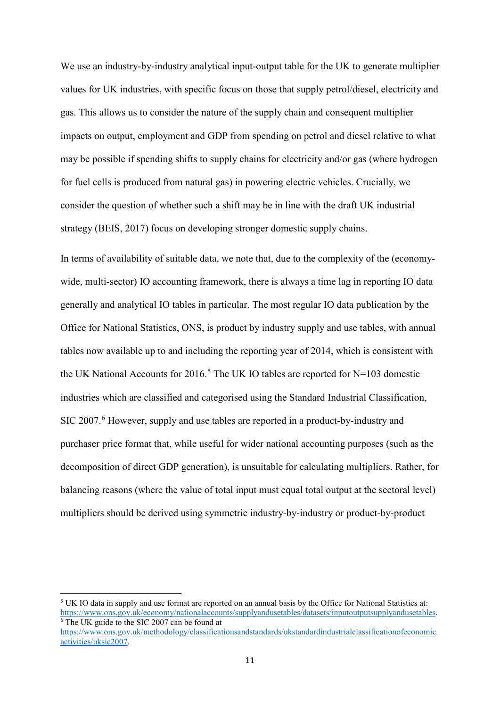We use an industry-by-industry analytical input-output table for the UK to generate multiplier values for UK industries, with specific focus on those that supply petrol/diesel, electricity and gas. This allows us to consider the nature of the supply chain and consequent multiplier impacts on output, employment and GDP from spending on petrol and diesel relative to what may be possible if spending shifts to supply chains for electricity and/or gas (where hydrogen for fuel cells is produced from natural gas) in powering electric vehicles. Crucially, we consider the question of whether such a shift may be in line with the draft UK industrial strategy (BEIS, 2017) focus on developing stronger domestic supply chains.

In terms of availability of suitable data, we note that, due to the complexity of the (economywide, multi-sector) IO accounting framework, there is always a time lag in reporting IO data generally and analytical IO tables in particular. The most regular IO data publication by the Office for National Statistics, ONS, is product by industry supply and use tables, with annual tables now available up to and including the reporting year of 2014, which is consistent with the UK National Accounts for 2016.<sup>[5](#page-11-0)</sup> The UK IO tables are reported for  $N=103$  domestic industries which are classified and categorised using the Standard Industrial Classification, SIC 2007.<sup>[6](#page-11-1)</sup> However, supply and use tables are reported in a product-by-industry and purchaser price format that, while useful for wider national accounting purposes (such as the decomposition of direct GDP generation), is unsuitable for calculating multipliers. Rather, for balancing reasons (where the value of total input must equal total output at the sectoral level) multipliers should be derived using symmetric industry-by-industry or product-by-product

<span id="page-11-1"></span><span id="page-11-0"></span><sup>5</sup> UK IO data in supply and use format are reported on an annual basis by the Office for National Statistics at: https://www.ons.gov.uk/economy/nationalaccounts/supplyandusetables/datasets/inputoutputsupplyandusetables.  $6$  The UK guide to the SIC 2007 can be found at https://www.ons.gov.uk/methodology/classificationsandstandards/ukstandardindustrialclassificationofeconomic activities/uksic2007.

 $\overline{a}$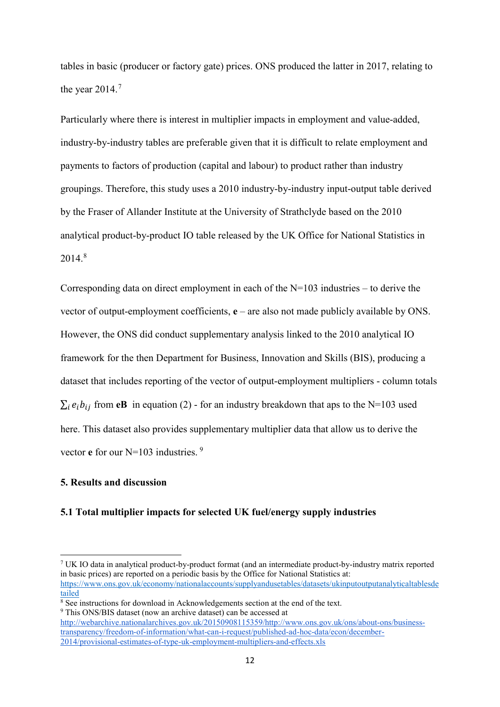tables in basic (producer or factory gate) prices. ONS produced the latter in 2017, relating to the year  $2014.<sup>7</sup>$  $2014.<sup>7</sup>$  $2014.<sup>7</sup>$ 

Particularly where there is interest in multiplier impacts in employment and value-added, industry-by-industry tables are preferable given that it is difficult to relate employment and payments to factors of production (capital and labour) to product rather than industry groupings. Therefore, this study uses a 2010 industry-by-industry input-output table derived by the Fraser of Allander Institute at the University of Strathclyde based on the 2010 analytical product-by-product IO table released by the UK Office for National Statistics in  $2014.<sup>8</sup>$  $2014.<sup>8</sup>$  $2014.<sup>8</sup>$ 

Corresponding data on direct employment in each of the N=103 industries – to derive the vector of output-employment coefficients, **e** – are also not made publicly available by ONS. However, the ONS did conduct supplementary analysis linked to the 2010 analytical IO framework for the then Department for Business, Innovation and Skills (BIS), producing a dataset that includes reporting of the vector of output-employment multipliers - column totals  $\sum_i e_i b_i$  from **eB** in equation (2) - for an industry breakdown that aps to the N=103 used here. This dataset also provides supplementary multiplier data that allow us to derive the vector **e** for our N=103 industries.<sup>[9](#page-12-2)</sup>

#### **5. Results and discussion**

 $\overline{a}$ 

#### **5.1 Total multiplier impacts for selected UK fuel/energy supply industries**

<span id="page-12-1"></span><sup>8</sup> See instructions for download in Acknowledgements section at the end of the text. <sup>9</sup> This ONS/BIS dataset (now an archive dataset) can be accessed at

<span id="page-12-2"></span>http://webarchive.nationalarchives.gov.uk/20150908115359/http://www.ons.gov.uk/ons/about-ons/businesstransparency/freedom-of-information/what-can-i-request/published-ad-hoc-data/econ/december-2014/provisional-estimates-of-type-uk-employment-multipliers-and-effects.xls

<span id="page-12-0"></span><sup>7</sup> UK IO data in analytical product-by-product format (and an intermediate product-by-industry matrix reported in basic prices) are reported on a periodic basis by the Office for National Statistics at: https://www.ons.gov.uk/economy/nationalaccounts/supplyandusetables/datasets/ukinputoutputanalyticaltablesde tailed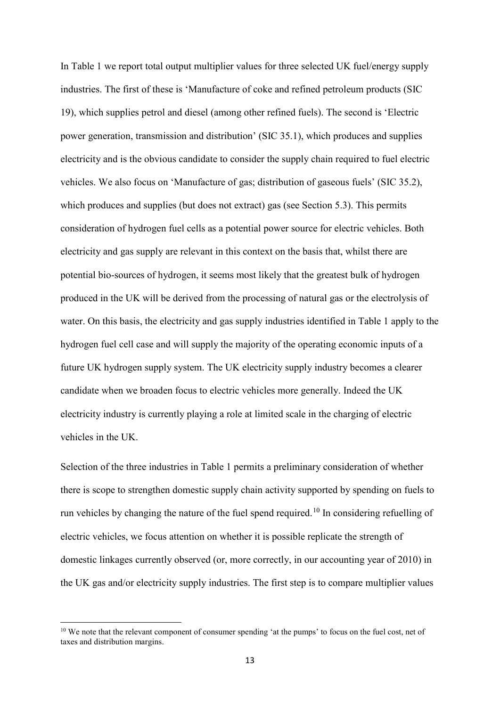In Table 1 we report total output multiplier values for three selected UK fuel/energy supply industries. The first of these is 'Manufacture of coke and refined petroleum products (SIC 19), which supplies petrol and diesel (among other refined fuels). The second is 'Electric power generation, transmission and distribution' (SIC 35.1), which produces and supplies electricity and is the obvious candidate to consider the supply chain required to fuel electric vehicles. We also focus on 'Manufacture of gas; distribution of gaseous fuels' (SIC 35.2), which produces and supplies (but does not extract) gas (see Section 5.3). This permits consideration of hydrogen fuel cells as a potential power source for electric vehicles. Both electricity and gas supply are relevant in this context on the basis that, whilst there are potential bio-sources of hydrogen, it seems most likely that the greatest bulk of hydrogen produced in the UK will be derived from the processing of natural gas or the electrolysis of water. On this basis, the electricity and gas supply industries identified in Table 1 apply to the hydrogen fuel cell case and will supply the majority of the operating economic inputs of a future UK hydrogen supply system. The UK electricity supply industry becomes a clearer candidate when we broaden focus to electric vehicles more generally. Indeed the UK electricity industry is currently playing a role at limited scale in the charging of electric vehicles in the UK.

Selection of the three industries in Table 1 permits a preliminary consideration of whether there is scope to strengthen domestic supply chain activity supported by spending on fuels to run vehicles by changing the nature of the fuel spend required.<sup>[10](#page-13-0)</sup> In considering refuelling of electric vehicles, we focus attention on whether it is possible replicate the strength of domestic linkages currently observed (or, more correctly, in our accounting year of 2010) in the UK gas and/or electricity supply industries. The first step is to compare multiplier values

 $\overline{a}$ 

<span id="page-13-0"></span><sup>&</sup>lt;sup>10</sup> We note that the relevant component of consumer spending 'at the pumps' to focus on the fuel cost, net of taxes and distribution margins.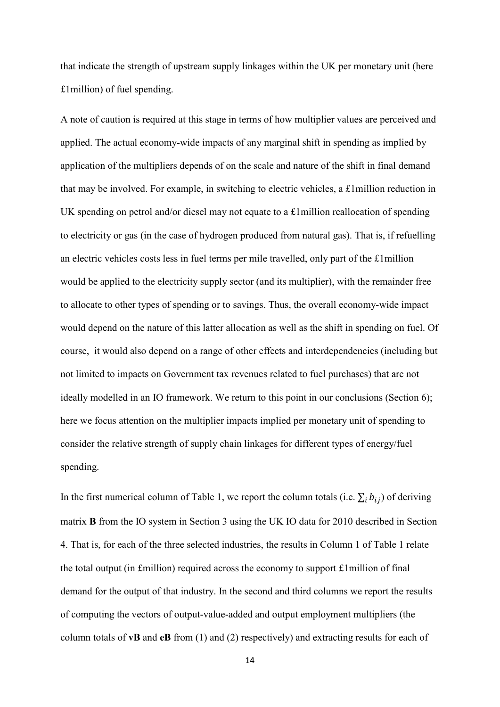that indicate the strength of upstream supply linkages within the UK per monetary unit (here £1million) of fuel spending.

A note of caution is required at this stage in terms of how multiplier values are perceived and applied. The actual economy-wide impacts of any marginal shift in spending as implied by application of the multipliers depends of on the scale and nature of the shift in final demand that may be involved. For example, in switching to electric vehicles, a £1million reduction in UK spending on petrol and/or diesel may not equate to a £1million reallocation of spending to electricity or gas (in the case of hydrogen produced from natural gas). That is, if refuelling an electric vehicles costs less in fuel terms per mile travelled, only part of the £1million would be applied to the electricity supply sector (and its multiplier), with the remainder free to allocate to other types of spending or to savings. Thus, the overall economy-wide impact would depend on the nature of this latter allocation as well as the shift in spending on fuel. Of course, it would also depend on a range of other effects and interdependencies (including but not limited to impacts on Government tax revenues related to fuel purchases) that are not ideally modelled in an IO framework. We return to this point in our conclusions (Section 6); here we focus attention on the multiplier impacts implied per monetary unit of spending to consider the relative strength of supply chain linkages for different types of energy/fuel spending.

In the first numerical column of Table 1, we report the column totals (i.e.  $\sum_i b_{ij}$ ) of deriving matrix **B** from the IO system in Section 3 using the UK IO data for 2010 described in Section 4. That is, for each of the three selected industries, the results in Column 1 of Table 1 relate the total output (in £million) required across the economy to support £1million of final demand for the output of that industry. In the second and third columns we report the results of computing the vectors of output-value-added and output employment multipliers (the column totals of **vB** and **eB** from (1) and (2) respectively) and extracting results for each of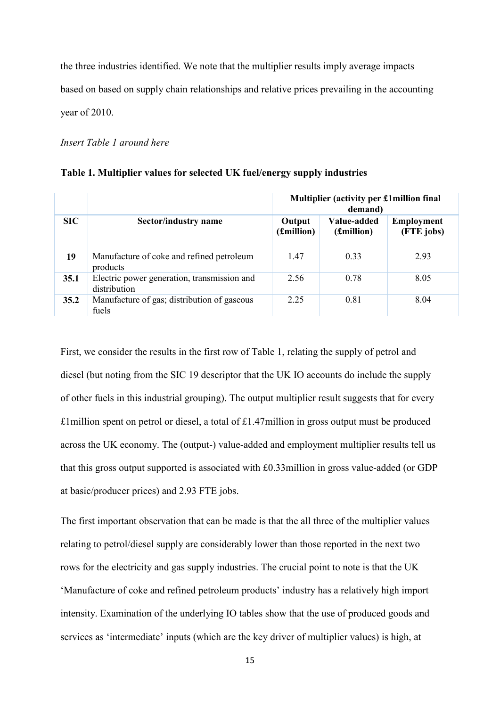the three industries identified. We note that the multiplier results imply average impacts based on based on supply chain relationships and relative prices prevailing in the accounting year of 2010.

#### *Insert Table 1 around here*

#### **Table 1. Multiplier values for selected UK fuel/energy supply industries**

|      |                                                             | Multiplier (activity per £1 million final<br>demand) |                           |                                 |
|------|-------------------------------------------------------------|------------------------------------------------------|---------------------------|---------------------------------|
| SIC  | Sector/industry name                                        | Output<br>(£million)                                 | Value-added<br>(£million) | <b>Employment</b><br>(FTE jobs) |
| 19   | Manufacture of coke and refined petroleum<br>products       | 1.47                                                 | 0.33                      | 2.93                            |
| 35.1 | Electric power generation, transmission and<br>distribution | 2.56                                                 | 0.78                      | 8.05                            |
| 35.2 | Manufacture of gas; distribution of gaseous<br>fuels        | 2.25                                                 | 0.81                      | 8.04                            |

First, we consider the results in the first row of Table 1, relating the supply of petrol and diesel (but noting from the SIC 19 descriptor that the UK IO accounts do include the supply of other fuels in this industrial grouping). The output multiplier result suggests that for every £1million spent on petrol or diesel, a total of £1.47million in gross output must be produced across the UK economy. The (output-) value-added and employment multiplier results tell us that this gross output supported is associated with £0.33million in gross value-added (or GDP at basic/producer prices) and 2.93 FTE jobs.

The first important observation that can be made is that the all three of the multiplier values relating to petrol/diesel supply are considerably lower than those reported in the next two rows for the electricity and gas supply industries. The crucial point to note is that the UK 'Manufacture of coke and refined petroleum products' industry has a relatively high import intensity. Examination of the underlying IO tables show that the use of produced goods and services as 'intermediate' inputs (which are the key driver of multiplier values) is high, at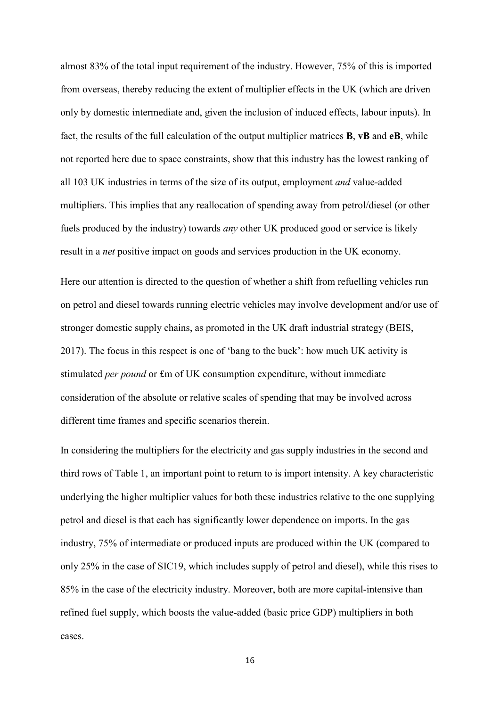almost 83% of the total input requirement of the industry. However, 75% of this is imported from overseas, thereby reducing the extent of multiplier effects in the UK (which are driven only by domestic intermediate and, given the inclusion of induced effects, labour inputs). In fact, the results of the full calculation of the output multiplier matrices **B**, **vB** and **eB**, while not reported here due to space constraints, show that this industry has the lowest ranking of all 103 UK industries in terms of the size of its output, employment *and* value-added multipliers. This implies that any reallocation of spending away from petrol/diesel (or other fuels produced by the industry) towards *any* other UK produced good or service is likely result in a *net* positive impact on goods and services production in the UK economy.

Here our attention is directed to the question of whether a shift from refuelling vehicles run on petrol and diesel towards running electric vehicles may involve development and/or use of stronger domestic supply chains, as promoted in the UK draft industrial strategy (BEIS, 2017). The focus in this respect is one of 'bang to the buck': how much UK activity is stimulated *per pound* or £m of UK consumption expenditure, without immediate consideration of the absolute or relative scales of spending that may be involved across different time frames and specific scenarios therein.

In considering the multipliers for the electricity and gas supply industries in the second and third rows of Table 1, an important point to return to is import intensity. A key characteristic underlying the higher multiplier values for both these industries relative to the one supplying petrol and diesel is that each has significantly lower dependence on imports. In the gas industry, 75% of intermediate or produced inputs are produced within the UK (compared to only 25% in the case of SIC19, which includes supply of petrol and diesel), while this rises to 85% in the case of the electricity industry. Moreover, both are more capital-intensive than refined fuel supply, which boosts the value-added (basic price GDP) multipliers in both cases.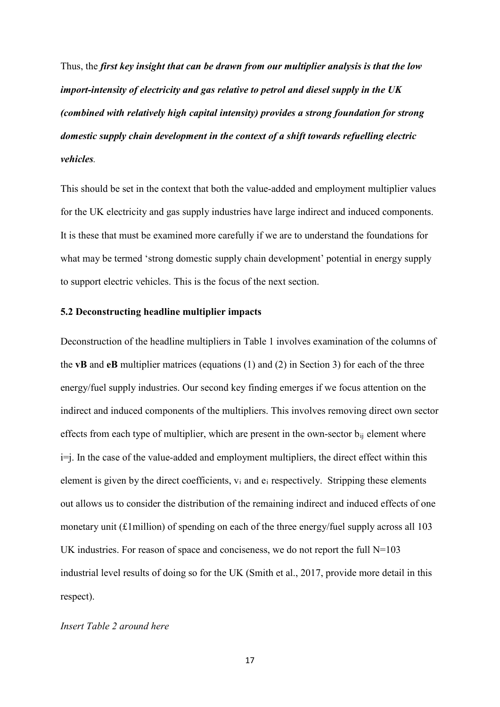Thus, the *first key insight that can be drawn from our multiplier analysis is that the low import-intensity of electricity and gas relative to petrol and diesel supply in the UK (combined with relatively high capital intensity) provides a strong foundation for strong domestic supply chain development in the context of a shift towards refuelling electric vehicles.* 

This should be set in the context that both the value-added and employment multiplier values for the UK electricity and gas supply industries have large indirect and induced components. It is these that must be examined more carefully if we are to understand the foundations for what may be termed 'strong domestic supply chain development' potential in energy supply to support electric vehicles. This is the focus of the next section.

#### **5.2 Deconstructing headline multiplier impacts**

Deconstruction of the headline multipliers in Table 1 involves examination of the columns of the **vB** and **eB** multiplier matrices (equations (1) and (2) in Section 3) for each of the three energy/fuel supply industries. Our second key finding emerges if we focus attention on the indirect and induced components of the multipliers. This involves removing direct own sector effects from each type of multiplier, which are present in the own-sector  $b_{ii}$  element where i=j. In the case of the value-added and employment multipliers, the direct effect within this element is given by the direct coefficients,  $v_i$  and  $e_i$  respectively. Stripping these elements out allows us to consider the distribution of the remaining indirect and induced effects of one monetary unit (£1million) of spending on each of the three energy/fuel supply across all 103 UK industries. For reason of space and conciseness, we do not report the full  $N=103$ industrial level results of doing so for the UK (Smith et al., 2017, provide more detail in this respect).

#### *Insert Table 2 around here*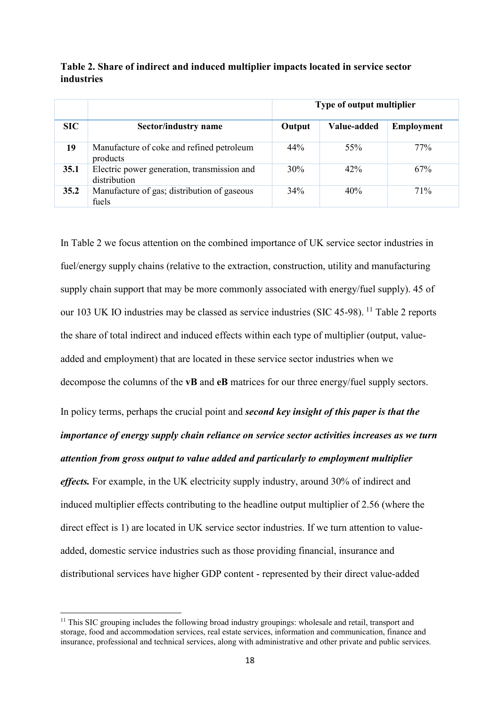**Table 2. Share of indirect and induced multiplier impacts located in service sector industries** 

|      |                                                             | Type of output multiplier |             |                   |
|------|-------------------------------------------------------------|---------------------------|-------------|-------------------|
| SIC  | Sector/industry name                                        | Output                    | Value-added | <b>Employment</b> |
| 19   | Manufacture of coke and refined petroleum<br>products       | 44%                       | 55%         | 77%               |
| 35.1 | Electric power generation, transmission and<br>distribution | 30%                       | 42%         | 67%               |
| 35.2 | Manufacture of gas; distribution of gaseous<br>fuels        | 34%                       | 40%         | 71%               |

In Table 2 we focus attention on the combined importance of UK service sector industries in fuel/energy supply chains (relative to the extraction, construction, utility and manufacturing supply chain support that may be more commonly associated with energy/fuel supply). 45 of our 103 UK IO industries may be classed as service industries (SIC 45-98). [11](#page-18-0) Table 2 reports the share of total indirect and induced effects within each type of multiplier (output, valueadded and employment) that are located in these service sector industries when we decompose the columns of the **vB** and **eB** matrices for our three energy/fuel supply sectors. In policy terms, perhaps the crucial point and *second key insight of this paper is that the importance of energy supply chain reliance on service sector activities increases as we turn attention from gross output to value added and particularly to employment multiplier* 

*effects.* For example, in the UK electricity supply industry, around 30% of indirect and induced multiplier effects contributing to the headline output multiplier of 2.56 (where the direct effect is 1) are located in UK service sector industries. If we turn attention to valueadded, domestic service industries such as those providing financial, insurance and distributional services have higher GDP content - represented by their direct value-added

 $\overline{a}$ 

<span id="page-18-0"></span> $11$  This SIC grouping includes the following broad industry groupings: wholesale and retail, transport and storage, food and accommodation services, real estate services, information and communication, finance and insurance, professional and technical services, along with administrative and other private and public services.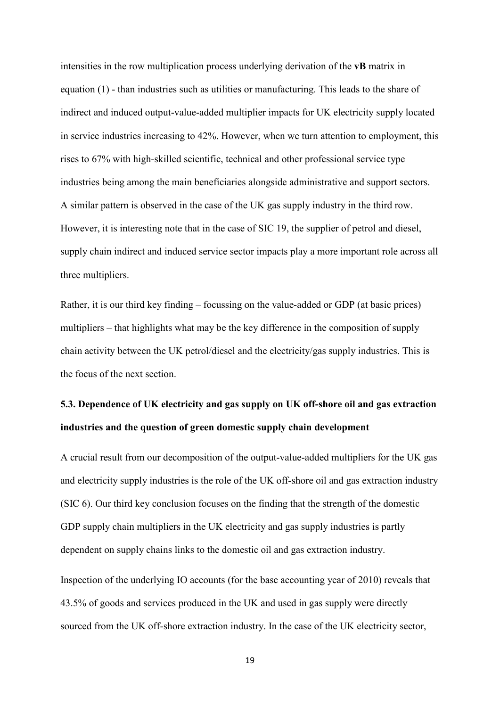intensities in the row multiplication process underlying derivation of the **vB** matrix in equation (1) - than industries such as utilities or manufacturing. This leads to the share of indirect and induced output-value-added multiplier impacts for UK electricity supply located in service industries increasing to 42%. However, when we turn attention to employment, this rises to 67% with high-skilled scientific, technical and other professional service type industries being among the main beneficiaries alongside administrative and support sectors. A similar pattern is observed in the case of the UK gas supply industry in the third row. However, it is interesting note that in the case of SIC 19, the supplier of petrol and diesel, supply chain indirect and induced service sector impacts play a more important role across all three multipliers.

Rather, it is our third key finding – focussing on the value-added or GDP (at basic prices) multipliers – that highlights what may be the key difference in the composition of supply chain activity between the UK petrol/diesel and the electricity/gas supply industries. This is the focus of the next section.

# **5.3. Dependence of UK electricity and gas supply on UK off-shore oil and gas extraction industries and the question of green domestic supply chain development**

A crucial result from our decomposition of the output-value-added multipliers for the UK gas and electricity supply industries is the role of the UK off-shore oil and gas extraction industry (SIC 6). Our third key conclusion focuses on the finding that the strength of the domestic GDP supply chain multipliers in the UK electricity and gas supply industries is partly dependent on supply chains links to the domestic oil and gas extraction industry.

Inspection of the underlying IO accounts (for the base accounting year of 2010) reveals that 43.5% of goods and services produced in the UK and used in gas supply were directly sourced from the UK off-shore extraction industry. In the case of the UK electricity sector,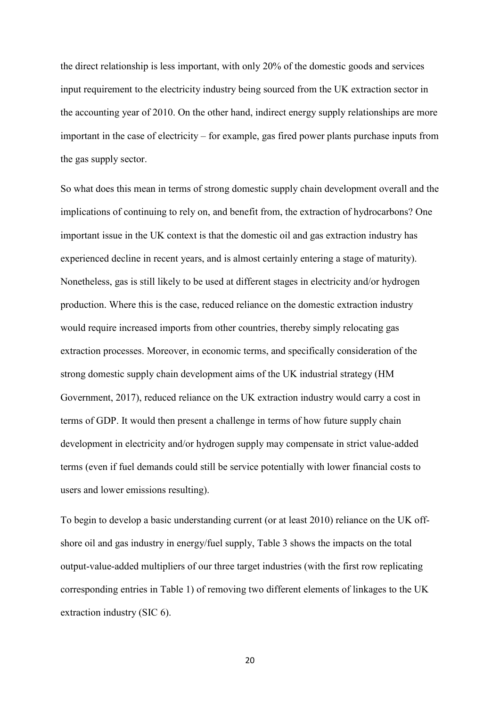the direct relationship is less important, with only 20% of the domestic goods and services input requirement to the electricity industry being sourced from the UK extraction sector in the accounting year of 2010. On the other hand, indirect energy supply relationships are more important in the case of electricity – for example, gas fired power plants purchase inputs from the gas supply sector.

So what does this mean in terms of strong domestic supply chain development overall and the implications of continuing to rely on, and benefit from, the extraction of hydrocarbons? One important issue in the UK context is that the domestic oil and gas extraction industry has experienced decline in recent years, and is almost certainly entering a stage of maturity). Nonetheless, gas is still likely to be used at different stages in electricity and/or hydrogen production. Where this is the case, reduced reliance on the domestic extraction industry would require increased imports from other countries, thereby simply relocating gas extraction processes. Moreover, in economic terms, and specifically consideration of the strong domestic supply chain development aims of the UK industrial strategy (HM Government, 2017), reduced reliance on the UK extraction industry would carry a cost in terms of GDP. It would then present a challenge in terms of how future supply chain development in electricity and/or hydrogen supply may compensate in strict value-added terms (even if fuel demands could still be service potentially with lower financial costs to users and lower emissions resulting).

To begin to develop a basic understanding current (or at least 2010) reliance on the UK offshore oil and gas industry in energy/fuel supply, Table 3 shows the impacts on the total output-value-added multipliers of our three target industries (with the first row replicating corresponding entries in Table 1) of removing two different elements of linkages to the UK extraction industry (SIC 6).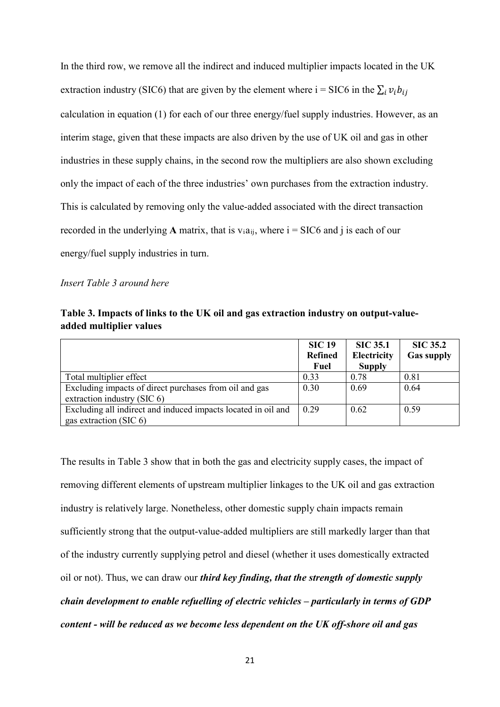In the third row, we remove all the indirect and induced multiplier impacts located in the UK extraction industry (SIC6) that are given by the element where i = SIC6 in the  $\sum_i v_i b_{i,i}$ calculation in equation (1) for each of our three energy/fuel supply industries. However, as an interim stage, given that these impacts are also driven by the use of UK oil and gas in other industries in these supply chains, in the second row the multipliers are also shown excluding only the impact of each of the three industries' own purchases from the extraction industry. This is calculated by removing only the value-added associated with the direct transaction recorded in the underlying **A** matrix, that is  $v_i a_{ii}$ , where  $i = \text{SIC6}$  and j is each of our energy/fuel supply industries in turn.

#### *Insert Table 3 around here*

|                         | Table 3. Impacts of links to the UK oil and gas extraction industry on output-value- |  |
|-------------------------|--------------------------------------------------------------------------------------|--|
| added multiplier values |                                                                                      |  |

|                                                                                            | <b>SIC 19</b><br><b>Refined</b> | <b>SIC 35.1</b><br><b>Electricity</b> | <b>SIC 35.2</b><br><b>Gas supply</b> |
|--------------------------------------------------------------------------------------------|---------------------------------|---------------------------------------|--------------------------------------|
|                                                                                            | Fuel                            | <b>Supply</b>                         |                                      |
| Total multiplier effect                                                                    | 0.33                            | 0.78                                  | 0.81                                 |
| Excluding impacts of direct purchases from oil and gas<br>extraction industry $(SIC 6)$    | 0.30                            | 0.69                                  | 0.64                                 |
| Excluding all indirect and induced impacts located in oil and<br>gas extraction (SIC $6$ ) | 0.29                            | 0.62                                  | 0.59                                 |

The results in Table 3 show that in both the gas and electricity supply cases, the impact of removing different elements of upstream multiplier linkages to the UK oil and gas extraction industry is relatively large. Nonetheless, other domestic supply chain impacts remain sufficiently strong that the output-value-added multipliers are still markedly larger than that of the industry currently supplying petrol and diesel (whether it uses domestically extracted oil or not). Thus, we can draw our *third key finding, that the strength of domestic supply chain development to enable refuelling of electric vehicles – particularly in terms of GDP content - will be reduced as we become less dependent on the UK off-shore oil and gas*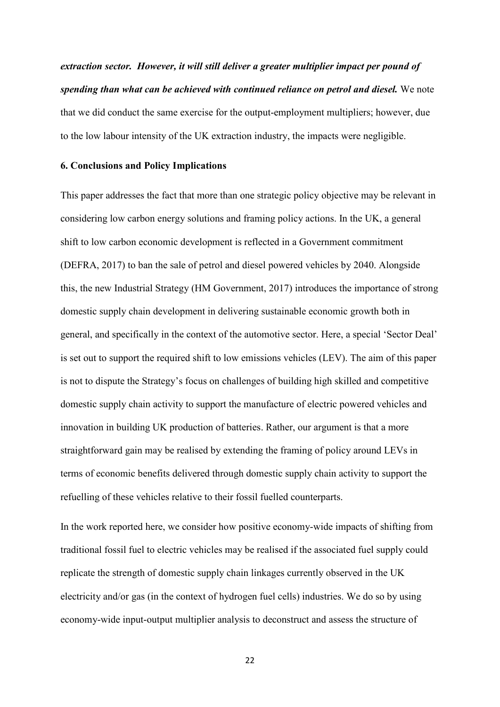*extraction sector. However, it will still deliver a greater multiplier impact per pound of spending than what can be achieved with continued reliance on petrol and diesel.* We note that we did conduct the same exercise for the output-employment multipliers; however, due to the low labour intensity of the UK extraction industry, the impacts were negligible.

#### **6. Conclusions and Policy Implications**

This paper addresses the fact that more than one strategic policy objective may be relevant in considering low carbon energy solutions and framing policy actions. In the UK, a general shift to low carbon economic development is reflected in a Government commitment (DEFRA, 2017) to ban the sale of petrol and diesel powered vehicles by 2040. Alongside this, the new Industrial Strategy (HM Government, 2017) introduces the importance of strong domestic supply chain development in delivering sustainable economic growth both in general, and specifically in the context of the automotive sector. Here, a special 'Sector Deal' is set out to support the required shift to low emissions vehicles (LEV). The aim of this paper is not to dispute the Strategy's focus on challenges of building high skilled and competitive domestic supply chain activity to support the manufacture of electric powered vehicles and innovation in building UK production of batteries. Rather, our argument is that a more straightforward gain may be realised by extending the framing of policy around LEVs in terms of economic benefits delivered through domestic supply chain activity to support the refuelling of these vehicles relative to their fossil fuelled counterparts.

In the work reported here, we consider how positive economy-wide impacts of shifting from traditional fossil fuel to electric vehicles may be realised if the associated fuel supply could replicate the strength of domestic supply chain linkages currently observed in the UK electricity and/or gas (in the context of hydrogen fuel cells) industries. We do so by using economy-wide input-output multiplier analysis to deconstruct and assess the structure of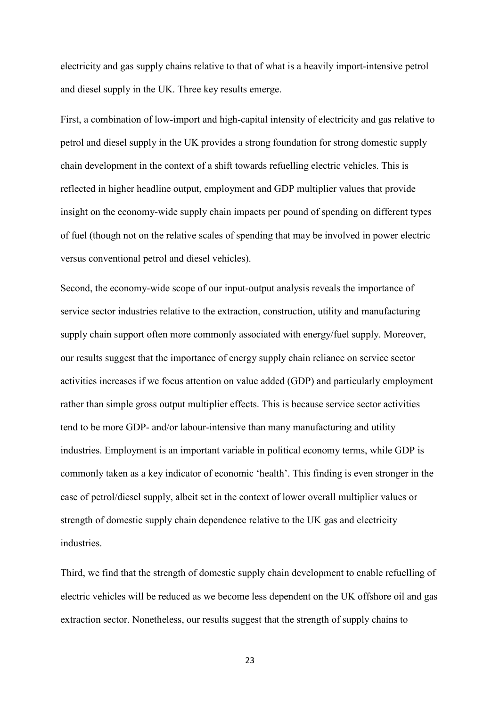electricity and gas supply chains relative to that of what is a heavily import-intensive petrol and diesel supply in the UK. Three key results emerge.

First, a combination of low-import and high-capital intensity of electricity and gas relative to petrol and diesel supply in the UK provides a strong foundation for strong domestic supply chain development in the context of a shift towards refuelling electric vehicles. This is reflected in higher headline output, employment and GDP multiplier values that provide insight on the economy-wide supply chain impacts per pound of spending on different types of fuel (though not on the relative scales of spending that may be involved in power electric versus conventional petrol and diesel vehicles).

Second, the economy-wide scope of our input-output analysis reveals the importance of service sector industries relative to the extraction, construction, utility and manufacturing supply chain support often more commonly associated with energy/fuel supply. Moreover, our results suggest that the importance of energy supply chain reliance on service sector activities increases if we focus attention on value added (GDP) and particularly employment rather than simple gross output multiplier effects. This is because service sector activities tend to be more GDP- and/or labour-intensive than many manufacturing and utility industries. Employment is an important variable in political economy terms, while GDP is commonly taken as a key indicator of economic 'health'. This finding is even stronger in the case of petrol/diesel supply, albeit set in the context of lower overall multiplier values or strength of domestic supply chain dependence relative to the UK gas and electricity industries.

Third, we find that the strength of domestic supply chain development to enable refuelling of electric vehicles will be reduced as we become less dependent on the UK offshore oil and gas extraction sector. Nonetheless, our results suggest that the strength of supply chains to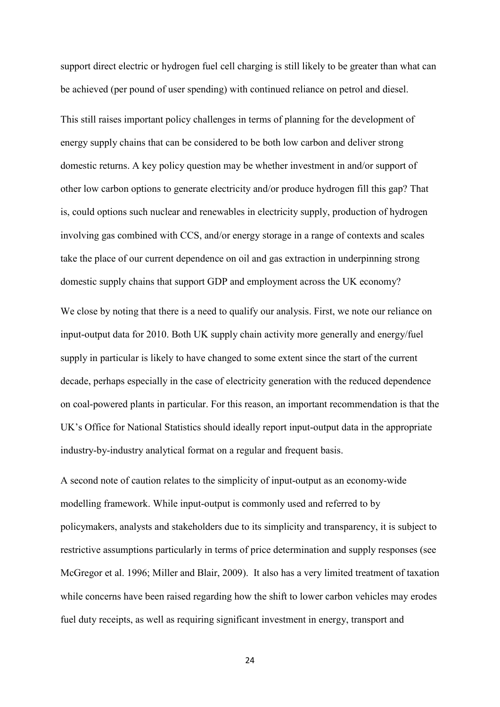support direct electric or hydrogen fuel cell charging is still likely to be greater than what can be achieved (per pound of user spending) with continued reliance on petrol and diesel.

This still raises important policy challenges in terms of planning for the development of energy supply chains that can be considered to be both low carbon and deliver strong domestic returns. A key policy question may be whether investment in and/or support of other low carbon options to generate electricity and/or produce hydrogen fill this gap? That is, could options such nuclear and renewables in electricity supply, production of hydrogen involving gas combined with CCS, and/or energy storage in a range of contexts and scales take the place of our current dependence on oil and gas extraction in underpinning strong domestic supply chains that support GDP and employment across the UK economy?

We close by noting that there is a need to qualify our analysis. First, we note our reliance on input-output data for 2010. Both UK supply chain activity more generally and energy/fuel supply in particular is likely to have changed to some extent since the start of the current decade, perhaps especially in the case of electricity generation with the reduced dependence on coal-powered plants in particular. For this reason, an important recommendation is that the UK's Office for National Statistics should ideally report input-output data in the appropriate industry-by-industry analytical format on a regular and frequent basis.

A second note of caution relates to the simplicity of input-output as an economy-wide modelling framework. While input-output is commonly used and referred to by policymakers, analysts and stakeholders due to its simplicity and transparency, it is subject to restrictive assumptions particularly in terms of price determination and supply responses (see McGregor et al. 1996; Miller and Blair, 2009). It also has a very limited treatment of taxation while concerns have been raised regarding how the shift to lower carbon vehicles may erodes fuel duty receipts, as well as requiring significant investment in energy, transport and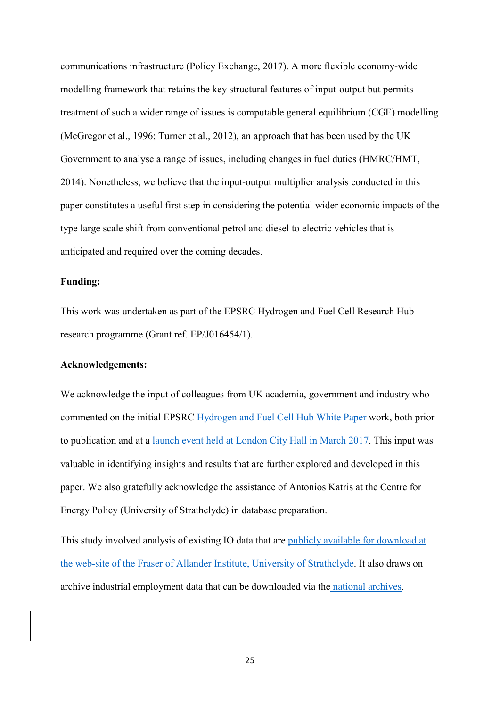communications infrastructure (Policy Exchange, 2017). A more flexible economy-wide modelling framework that retains the key structural features of input-output but permits treatment of such a wider range of issues is computable general equilibrium (CGE) modelling (McGregor et al., 1996; Turner et al., 2012), an approach that has been used by the UK Government to analyse a range of issues, including changes in fuel duties (HMRC/HMT, 2014). Nonetheless, we believe that the input-output multiplier analysis conducted in this paper constitutes a useful first step in considering the potential wider economic impacts of the type large scale shift from conventional petrol and diesel to electric vehicles that is anticipated and required over the coming decades.

#### **Funding:**

This work was undertaken as part of the EPSRC Hydrogen and Fuel Cell Research Hub research programme (Grant ref. EP/J016454/1).

#### **Acknowledgements:**

We acknowledge the input of colleagues from UK academia, government and industry who commented on the initial EPSRC Hydrogen and Fuel Cell Hub White Paper work, both prior to publication and at a launch event held at London City Hall in March 2017. This input was valuable in identifying insights and results that are further explored and developed in this paper. We also gratefully acknowledge the assistance of Antonios Katris at the Centre for Energy Policy (University of Strathclyde) in database preparation.

This study involved analysis of existing IO data that are publicly available for download at the web-site of the Fraser of Allander Institute, University of Strathclyde. It also draws on archive industrial employment data that can be downloaded via the national archives.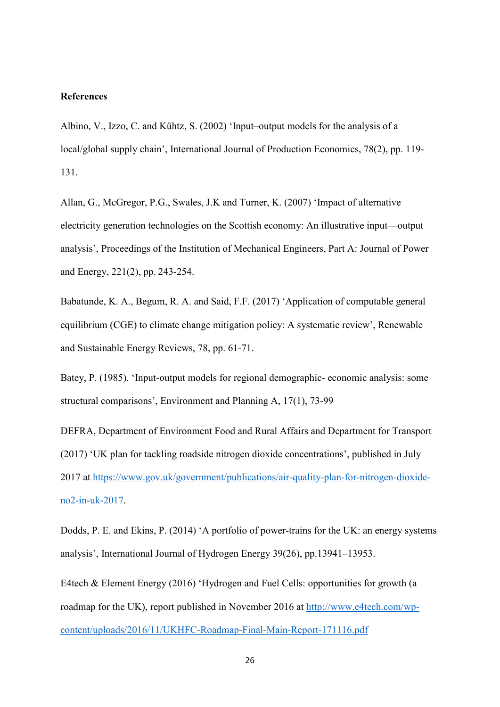#### **References**

Albino, V., Izzo, C. and Kühtz, S. (2002) 'Input–output models for the analysis of a local/global supply chain', International Journal of Production Economics, 78(2), pp. 119- 131.

Allan, G., McGregor, P.G., Swales, J.K and Turner, K. (2007) 'Impact of alternative electricity generation technologies on the Scottish economy: An illustrative input—output analysis', Proceedings of the Institution of Mechanical Engineers, Part A: Journal of Power and Energy, 221(2), pp. 243-254.

Babatunde, K. A., Begum, R. A. and Said, F.F. (2017) 'Application of computable general equilibrium (CGE) to climate change mitigation policy: A systematic review', Renewable and Sustainable Energy Reviews, 78, pp. 61-71.

Batey, P. (1985). 'Input-output models for regional demographic- economic analysis: some structural comparisons', Environment and Planning A, 17(1), 73-99

DEFRA, Department of Environment Food and Rural Affairs and Department for Transport (2017) 'UK plan for tackling roadside nitrogen dioxide concentrations', published in July 2017 at https://www.gov.uk/government/publications/air-quality-plan-for-nitrogen-dioxideno2-in-uk-2017.

Dodds, P. E. and Ekins, P. (2014) 'A portfolio of power-trains for the UK: an energy systems analysis', International Journal of Hydrogen Energy 39(26), pp.13941–13953.

E4tech & Element Energy (2016) 'Hydrogen and Fuel Cells: opportunities for growth (a roadmap for the UK), report published in November 2016 at http://www.e4tech.com/wpcontent/uploads/2016/11/UKHFC-Roadmap-Final-Main-Report-171116.pdf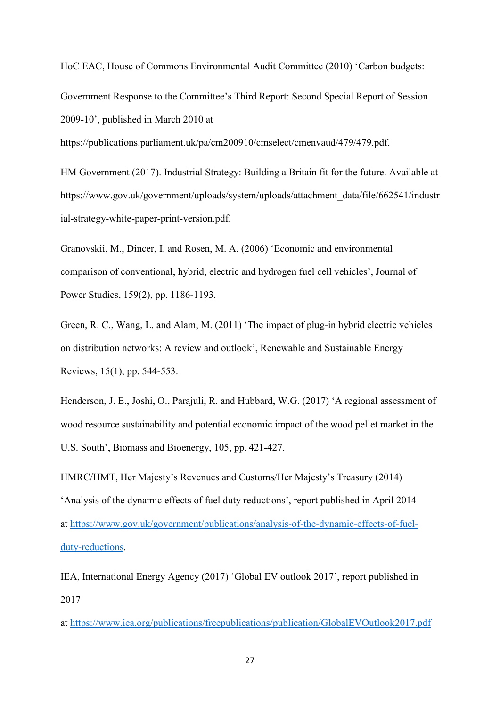HoC EAC, House of Commons Environmental Audit Committee (2010) 'Carbon budgets:

Government Response to the Committee's Third Report: Second Special Report of Session 2009-10', published in March 2010 at

https://publications.parliament.uk/pa/cm200910/cmselect/cmenvaud/479/479.pdf.

HM Government (2017). Industrial Strategy: Building a Britain fit for the future. Available at https://www.gov.uk/government/uploads/system/uploads/attachment\_data/file/662541/industr ial-strategy-white-paper-print-version.pdf.

Granovskii, M., Dincer, I. and Rosen, M. A. (2006) 'Economic and environmental comparison of conventional, hybrid, electric and hydrogen fuel cell vehicles', Journal of Power Studies, 159(2), pp. 1186-1193.

Green, R. C., Wang, L. and Alam, M. (2011) 'The impact of plug-in hybrid electric vehicles on distribution networks: A review and outlook', Renewable and Sustainable Energy Reviews, 15(1), pp. 544-553.

Henderson, J. E., Joshi, O., Parajuli, R. and Hubbard, W.G. (2017) 'A regional assessment of wood resource sustainability and potential economic impact of the wood pellet market in the U.S. South', Biomass and Bioenergy, 105, pp. 421-427.

HMRC/HMT, Her Majesty's Revenues and Customs/Her Majesty's Treasury (2014) 'Analysis of the dynamic effects of fuel duty reductions', report published in April 2014 at https://www.gov.uk/government/publications/analysis-of-the-dynamic-effects-of-fuelduty-reductions.

IEA, International Energy Agency (2017) 'Global EV outlook 2017', report published in 2017

at https://www.iea.org/publications/freepublications/publication/GlobalEVOutlook2017.pdf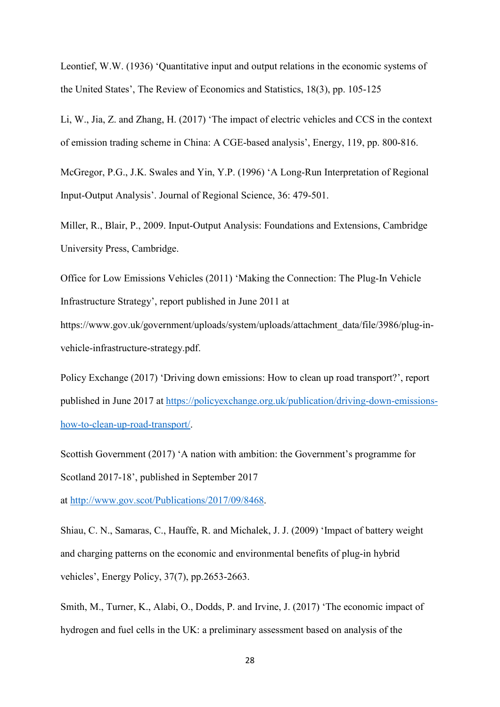Leontief, W.W. (1936) 'Quantitative input and output relations in the economic systems of the United States', The Review of Economics and Statistics, 18(3), pp. 105-125

Li, W., Jia, Z. and Zhang, H. (2017) 'The impact of electric vehicles and CCS in the context of emission trading scheme in China: A CGE-based analysis', Energy, 119, pp. 800-816.

McGregor, P.G., J.K. Swales and Yin, Y.P. (1996) 'A Long-Run Interpretation of Regional Input-Output Analysis'. Journal of Regional Science, 36: 479-501.

Miller, R., Blair, P., 2009. Input-Output Analysis: Foundations and Extensions, Cambridge University Press, Cambridge.

Office for Low Emissions Vehicles (2011) 'Making the Connection: The Plug-In Vehicle Infrastructure Strategy', report published in June 2011 at

https://www.gov.uk/government/uploads/system/uploads/attachment\_data/file/3986/plug-invehicle-infrastructure-strategy.pdf.

Policy Exchange (2017) 'Driving down emissions: How to clean up road transport?', report published in June 2017 at https://policyexchange.org.uk/publication/driving-down-emissionshow-to-clean-up-road-transport/.

Scottish Government (2017) 'A nation with ambition: the Government's programme for Scotland 2017-18', published in September 2017

at http://www.gov.scot/Publications/2017/09/8468.

Shiau, C. N., Samaras, C., Hauffe, R. and Michalek, J. J. (2009) 'Impact of battery weight and charging patterns on the economic and environmental benefits of plug-in hybrid vehicles', Energy Policy, 37(7), pp.2653-2663.

Smith, M., Turner, K., Alabi, O., Dodds, P. and Irvine, J. (2017) 'The economic impact of hydrogen and fuel cells in the UK: a preliminary assessment based on analysis of the